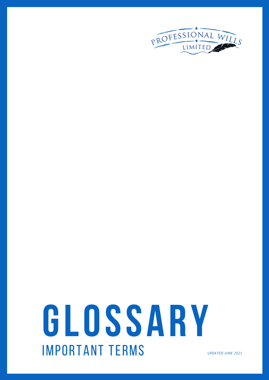

# **GLOSSARY** IMPORTANT TERMS *UPDATED JUNE <sup>2021</sup>*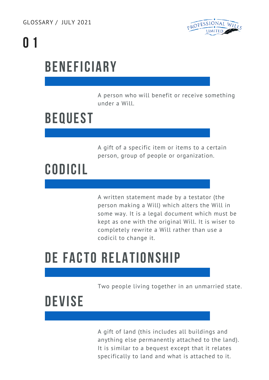

# **0 1**

# **BENEFICIARY**

A person who will benefit or receive something under a Will.

### **BEQUEST**

A gift of a specific item or items to a certain person, group of people or organization.

### **CODICIL**

A written statement made by a testator (the person making a Will) which alters the Will in some way. It is a legal document which must be kept as one with the original Will. It is wiser to completely rewrite a Will rather than use a codicil to change it.

### **DE FACTO RELATIONSHIP**

Two people living together in an unmarried state.

### **DEVISE**

A gift of land (this includes all buildings and anything else permanently attached to the land). It is similar to a bequest except that it relates specifically to land and what is attached to it.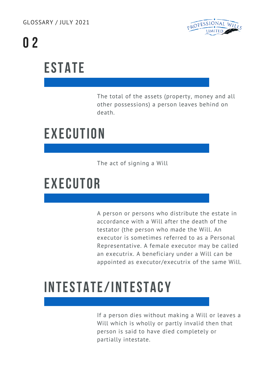GLOSSARY / JULY 2021



# **0 2**

# **ESTATE**

The total of the assets (property, money and all other possessions) a person leaves behind on death.

# **EXECUTION**

The act of signing a Will

### **EXECUTOR**

A person or persons who distribute the estate in accordance with a Will after the death of the testator (the person who made the Will. An executor is sometimes referred to as a Personal Representative. A female executor may be called an executrix. A beneficiary under a Will can be appointed as executor/executrix of the same Will.

# **INTESTATE/INTESTACY**

If a person dies without making a Will or leaves a Will which is wholly or partly invalid then that person is said to have died completely or partially intestate.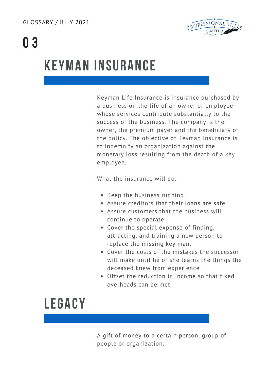

# **0 3**

### **KEYMAN INSURANCE**

Keyman Life Insurance is insurance purchased by a business on the life of an owner or employee whose services contribute substantially to the success of the business. The company is the owner, the premium payer and the beneficiary of the policy. The objective of Keyman Insurance is to indemnify an organization against the monetary loss resulting from the death of a key employee.

What the insurance will do:

- Keep the business running
- Assure creditors that their loans are safe
- Assure customers that the business will continue to operate
- Cover the special expense of finding, attracting, and training a new person to replace the missing key man.
- Cover the costs of the mistakes the successor will make until he or she learns the things the deceased knew from experience
- Offset the reduction in income so that fixed overheads can be met

#### **LEGACY**

A gift of money to a certain person, group of people or organization.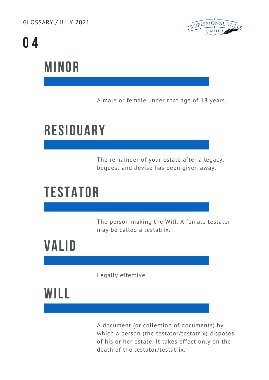GLOSSARY / JULY 2021



# **0 4**

### **MINOR**

A male or female under that age of 18 years.

## **RESIDUARY**

The remainder of your estate after a legacy, bequest and devise has been given away.

### **TESTATOR**

The person making the Will. A female testator may be called a testatrix.

### **VALID**

Legally effective.

### **WILL**

A document (or collection of documents) by which a person (the testator/testatrix) disposes of his or her estate. It takes effect only on the death of the testator/testatrix.